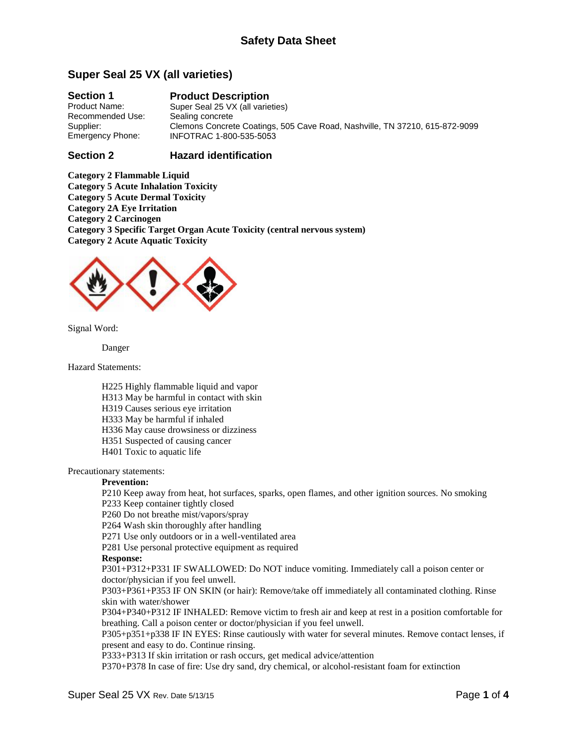# **Super Seal 25 VX (all varieties)**

#### **Section 1** Product Name: Recommended Use: Supplier: Emergency Phone: **Product Description** Super Seal 25 VX (all varieties) Sealing concrete Clemons Concrete Coatings, 505 Cave Road, Nashville, TN 37210, 615-872-9099 INFOTRAC 1-800-535-5053

#### **Section 2 Hazard identification**

**Category 2 Flammable Liquid Category 5 Acute Inhalation Toxicity Category 5 Acute Dermal Toxicity Category 2A Eye Irritation Category 2 Carcinogen Category 3 Specific Target Organ Acute Toxicity (central nervous system) Category 2 Acute Aquatic Toxicity**



Signal Word:

Danger

Hazard Statements:

- H225 Highly flammable liquid and vapor
- H313 May be harmful in contact with skin
- H319 Causes serious eye irritation
- H333 May be harmful if inhaled
- H336 May cause drowsiness or dizziness
- H351 Suspected of causing cancer
- H401 Toxic to aquatic life

Precautionary statements:

### **Prevention:**

P210 Keep away from heat, hot surfaces, sparks, open flames, and other ignition sources. No smoking P233 Keep container tightly closed

P260 Do not breathe mist/vapors/spray

P264 Wash skin thoroughly after handling

P271 Use only outdoors or in a well-ventilated area

P281 Use personal protective equipment as required

#### **Response:**

P301+P312+P331 IF SWALLOWED: Do NOT induce vomiting. Immediately call a poison center or doctor/physician if you feel unwell.

P303+P361+P353 IF ON SKIN (or hair): Remove/take off immediately all contaminated clothing. Rinse skin with water/shower

P304+P340+P312 IF INHALED: Remove victim to fresh air and keep at rest in a position comfortable for breathing. Call a poison center or doctor/physician if you feel unwell.

P305+p351+p338 IF IN EYES: Rinse cautiously with water for several minutes. Remove contact lenses, if present and easy to do. Continue rinsing.

P333+P313 If skin irritation or rash occurs, get medical advice/attention

P370+P378 In case of fire: Use dry sand, dry chemical, or alcohol-resistant foam for extinction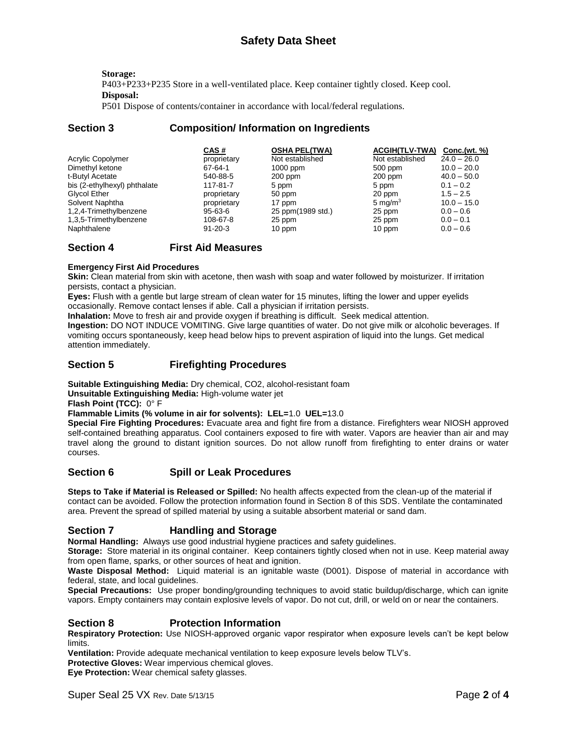**Storage:** P403+P233+P235 Store in a well-ventilated place. Keep container tightly closed. Keep cool. **Disposal:**

P501 Dispose of contents/container in accordance with local/federal regulations.

# **Section 3 Composition/ Information on Ingredients**

|                              | CAS#          | <b>OSHA PEL(TWA)</b> | <b>ACGIH(TLV-TWA)</b> | Conc.(wt. %)  |
|------------------------------|---------------|----------------------|-----------------------|---------------|
| Acrylic Copolymer            | proprietary   | Not established      | Not established       | $24.0 - 26.0$ |
| Dimethyl ketone              | 67-64-1       | $1000$ ppm           | 500 ppm               | $10.0 - 20.0$ |
| t-Butyl Acetate              | 540-88-5      | $200$ ppm            | $200$ ppm             | $40.0 - 50.0$ |
| bis (2-ethylhexyl) phthalate | 117-81-7      | 5 ppm                | 5 ppm                 | $0.1 - 0.2$   |
| Glycol Ether                 | proprietary   | 50 ppm               | 20 ppm                | $1.5 - 2.5$   |
| Solvent Naphtha              | proprietary   | 17 ppm               | 5 mg/ $m3$            | $10.0 - 15.0$ |
| 1,2,4-Trimethylbenzene       | 95-63-6       | 25 ppm(1989 std.)    | 25 ppm                | $0.0 - 0.6$   |
| 1,3,5-Trimethylbenzene       | 108-67-8      | 25 ppm               | 25 ppm                | $0.0 - 0.1$   |
| Naphthalene                  | $91 - 20 - 3$ | 10 ppm               | 10 ppm                | $0.0 - 0.6$   |

# **Section 4 First Aid Measures**

### **Emergency First Aid Procedures**

**Skin:** Clean material from skin with acetone, then wash with soap and water followed by moisturizer. If irritation persists, contact a physician.

**Eyes:** Flush with a gentle but large stream of clean water for 15 minutes, lifting the lower and upper eyelids occasionally. Remove contact lenses if able. Call a physician if irritation persists.

**Inhalation:** Move to fresh air and provide oxygen if breathing is difficult. Seek medical attention.

**Ingestion:** DO NOT INDUCE VOMITING. Give large quantities of water. Do not give milk or alcoholic beverages. If vomiting occurs spontaneously, keep head below hips to prevent aspiration of liquid into the lungs. Get medical attention immediately.

# **Section 5 Firefighting Procedures**

**Suitable Extinguishing Media:** Dry chemical, CO2, alcohol-resistant foam

**Unsuitable Extinguishing Media:** High-volume water jet

**Flash Point (TCC):** 0° F

**Flammable Limits (% volume in air for solvents): LEL=**1.0 **UEL=**13.0

**Special Fire Fighting Procedures:** Evacuate area and fight fire from a distance. Firefighters wear NIOSH approved self-contained breathing apparatus. Cool containers exposed to fire with water. Vapors are heavier than air and may travel along the ground to distant ignition sources. Do not allow runoff from firefighting to enter drains or water courses.

# **Section 6 Spill or Leak Procedures**

**Steps to Take if Material is Released or Spilled:** No health affects expected from the clean-up of the material if contact can be avoided. Follow the protection information found in Section 8 of this SDS. Ventilate the contaminated area. Prevent the spread of spilled material by using a suitable absorbent material or sand dam.

### **Section 7 Handling and Storage**

**Normal Handling:** Always use good industrial hygiene practices and safety guidelines.

**Storage:** Store material in its original container. Keep containers tightly closed when not in use. Keep material away from open flame, sparks, or other sources of heat and ignition.

**Waste Disposal Method:** Liquid material is an ignitable waste (D001). Dispose of material in accordance with federal, state, and local guidelines.

**Special Precautions:** Use proper bonding/grounding techniques to avoid static buildup/discharge, which can ignite vapors. Empty containers may contain explosive levels of vapor. Do not cut, drill, or weld on or near the containers.

# **Section 8 Protection Information**

**Respiratory Protection:** Use NIOSH-approved organic vapor respirator when exposure levels can't be kept below limits.

**Ventilation:** Provide adequate mechanical ventilation to keep exposure levels below TLV's.

**Protective Gloves:** Wear impervious chemical gloves.

**Eye Protection:** Wear chemical safety glasses.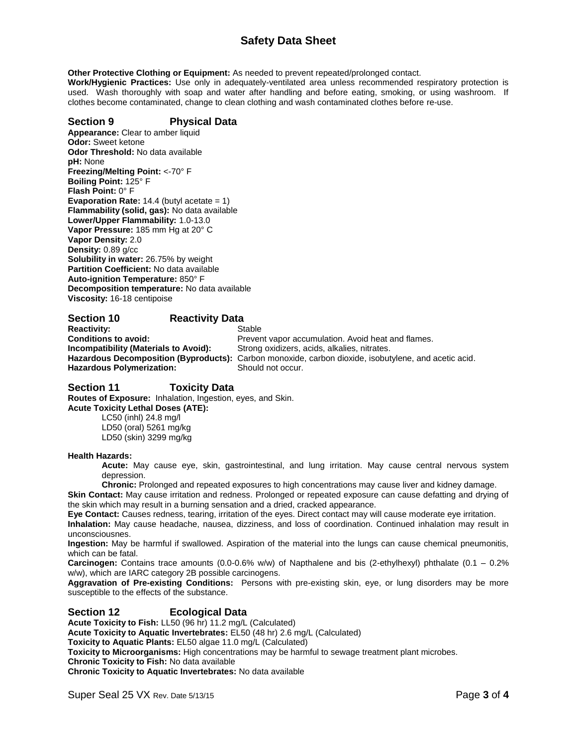# **Safety Data Sheet**

**Other Protective Clothing or Equipment:** As needed to prevent repeated/prolonged contact.

**Work/Hygienic Practices:** Use only in adequately-ventilated area unless recommended respiratory protection is used. Wash thoroughly with soap and water after handling and before eating, smoking, or using washroom. If clothes become contaminated, change to clean clothing and wash contaminated clothes before re-use.

### **Section 9 Physical Data**

**Appearance:** Clear to amber liquid **Odor:** Sweet ketone **Odor Threshold:** No data available **pH:** None **Freezing/Melting Point:** <-70° F **Boiling Point:** 125° F **Flash Point:** 0° F **Evaporation Rate:** 14.4 (butyl acetate = 1) **Flammability (solid, gas):** No data available **Lower/Upper Flammability:** 1.0-13.0 **Vapor Pressure:** 185 mm Hg at 20° C **Vapor Density:** 2.0 **Density:** 0.89 g/cc **Solubility in water:** 26.75% by weight **Partition Coefficient:** No data available **Auto-ignition Temperature:** 850° F **Decomposition temperature:** No data available **Viscosity:** 16-18 centipoise

# **Section 10 Reactivity Data**

**Reactivity:** Stable Hazardous Polymerization: Should not occur.

**Conditions to avoid:** Prevent vapor accumulation. Avoid heat and flames.<br> **Incompatibility (Materials to Avoid):** Strong oxidizers, acids, alkalies, nitrates. Strong oxidizers, acids, alkalies, nitrates. **Hazardous Decomposition (Byproducts):** Carbon monoxide, carbon dioxide, isobutylene, and acetic acid.

# **Section 11 Toxicity Data**

**Routes of Exposure:** Inhalation, Ingestion, eyes, and Skin. **Acute Toxicity Lethal Doses (ATE):**

LC50 (inhl) 24.8 mg/l LD50 (oral) 5261 mg/kg LD50 (skin) 3299 mg/kg

#### **Health Hazards:**

**Acute:** May cause eye, skin, gastrointestinal, and lung irritation. May cause central nervous system depression.

**Chronic:** Prolonged and repeated exposures to high concentrations may cause liver and kidney damage. **Skin Contact:** May cause irritation and redness. Prolonged or repeated exposure can cause defatting and drying of

the skin which may result in a burning sensation and a dried, cracked appearance.

**Eye Contact:** Causes redness, tearing, irritation of the eyes. Direct contact may will cause moderate eye irritation. **Inhalation:** May cause headache, nausea, dizziness, and loss of coordination. Continued inhalation may result in unconsciousnes.

**Ingestion:** May be harmful if swallowed. Aspiration of the material into the lungs can cause chemical pneumonitis, which can be fatal.

**Carcinogen:** Contains trace amounts (0.0-0.6% w/w) of Napthalene and bis (2-ethylhexyl) phthalate (0.1 – 0.2% w/w), which are IARC category 2B possible carcinogens.

**Aggravation of Pre-existing Conditions:** Persons with pre-existing skin, eye, or lung disorders may be more susceptible to the effects of the substance.

### **Section 12 Ecological Data**

**Acute Toxicity to Fish:** LL50 (96 hr) 11.2 mg/L (Calculated) **Acute Toxicity to Aquatic Invertebrates:** EL50 (48 hr) 2.6 mg/L (Calculated)

**Toxicity to Aquatic Plants:** EL50 algae 11.0 mg/L (Calculated)

**Toxicity to Microorganisms:** High concentrations may be harmful to sewage treatment plant microbes.

**Chronic Toxicity to Fish:** No data available

**Chronic Toxicity to Aquatic Invertebrates:** No data available